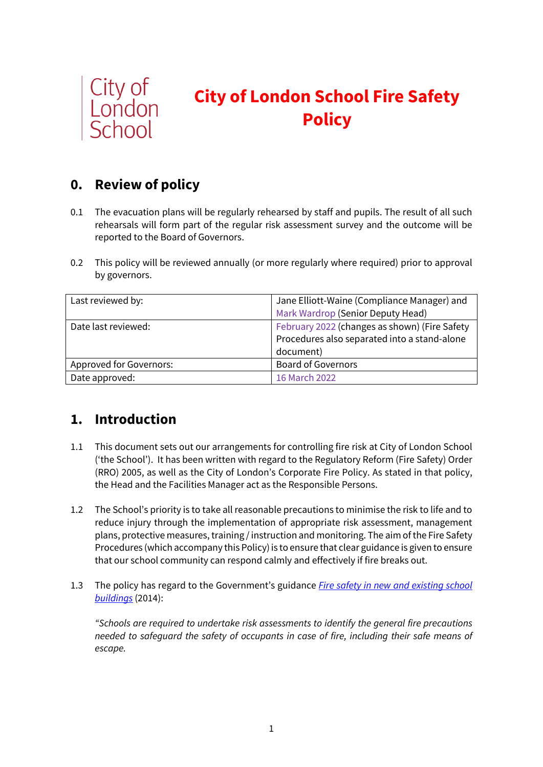

# **City of London School Fire Safety Policy**

## **0. Review of policy**

- 0.1 The evacuation plans will be regularly rehearsed by staff and pupils. The result of all such rehearsals will form part of the regular risk assessment survey and the outcome will be reported to the Board of Governors.
- 0.2 This policy will be reviewed annually (or more regularly where required) prior to approval by governors.

| Last reviewed by:       | Jane Elliott-Waine (Compliance Manager) and   |
|-------------------------|-----------------------------------------------|
|                         | Mark Wardrop (Senior Deputy Head)             |
| Date last reviewed:     | February 2022 (changes as shown) (Fire Safety |
|                         | Procedures also separated into a stand-alone  |
|                         | document)                                     |
| Approved for Governors: | <b>Board of Governors</b>                     |
| Date approved:          | 16 March 2022                                 |

## **1. Introduction**

- 1.1 This document sets out our arrangements for controlling fire risk at City of London School ('the School'). It has been written with regard to the Regulatory Reform (Fire Safety) Order (RRO) 2005, as well as the City of London's Corporate Fire Policy. As stated in that policy, the Head and the Facilities Manager act as the Responsible Persons.
- 1.2 The School's priority is to take all reasonable precautions to minimise the risk to life and to reduce injury through the implementation of appropriate risk assessment, management plans, protective measures, training / instruction and monitoring. The aim of the Fire Safety Procedures (which accompany this Policy) is to ensure that clear guidance is given to ensure that our school community can respond calmly and effectively if fire breaks out.
- 1.3 The policy has regard to the Government's guidance *[Fire safety in new and existing school](https://www.gov.uk/government/publications/fire-safety-in-new-and-existing-school-buildings/fire-safety-in-new-and-existing-school-buildings)  [buildings](https://www.gov.uk/government/publications/fire-safety-in-new-and-existing-school-buildings/fire-safety-in-new-and-existing-school-buildings)* (2014):

*"Schools are required to undertake risk assessments to identify the general fire precautions needed to safeguard the safety of occupants in case of fire, including their safe means of escape.*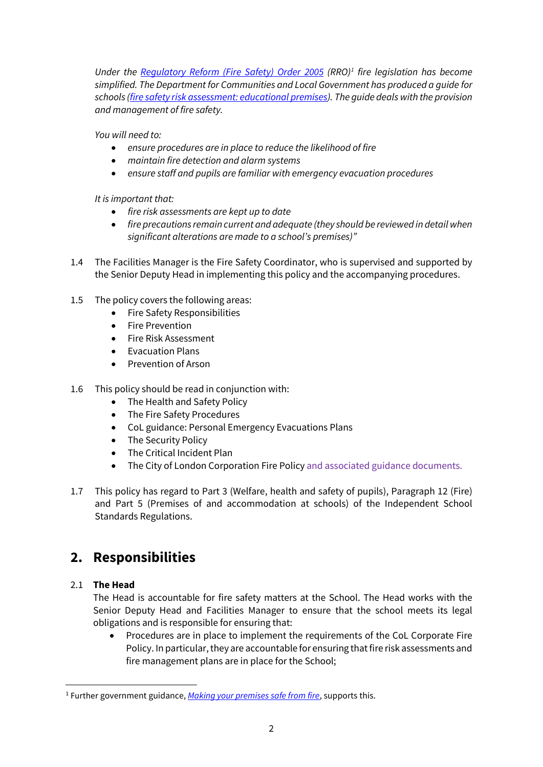*Under the [Regulatory Reform \(Fire Safety\) Order 2005](http://www.legislation.gov.uk/uksi/2005/1541/contents/made) (RRO)[1](#page-1-0) fire legislation has become simplified. The Department for Communities and Local Government has produced a guide for schools [\(fire safety risk assessment: educational premises\)](https://www.gov.uk/government/publications/fire-safety-risk-assessment-educational-premises). The guide deals with the provision and management of fire safety.*

*You will need to:*

- *ensure procedures are in place to reduce the likelihood of fire*
- *maintain fire detection and alarm systems*
- *ensure staff and pupils are familiar with emergency evacuation procedures*

*It is important that:*

- *fire risk assessments are kept up to date*
- *fire precautions remain current and adequate (they should be reviewed in detail when significant alterations are made to a school's premises)"*
- 1.4 The Facilities Manager is the Fire Safety Coordinator, who is supervised and supported by the Senior Deputy Head in implementing this policy and the accompanying procedures.
- 1.5 The policy covers the following areas:
	- Fire Safety Responsibilities
	- Fire Prevention
	- Fire Risk Assessment
	- Evacuation Plans
	- Prevention of Arson
- 1.6 This policy should be read in conjunction with:
	- The Health and Safety Policy
	- The Fire Safety Procedures
	- CoL guidance: Personal Emergency Evacuations Plans
	- The Security Policy
	- The Critical Incident Plan
	- The City of London Corporation Fire Policy and associated guidance documents.
- 1.7 This policy has regard to Part 3 (Welfare, health and safety of pupils), Paragraph 12 (Fire) and Part 5 (Premises of and accommodation at schools) of the Independent School Standards Regulations.

## **2. Responsibilities**

### 2.1 **The Head**

The Head is accountable for fire safety matters at the School. The Head works with the Senior Deputy Head and Facilities Manager to ensure that the school meets its legal obligations and is responsible for ensuring that:

• Procedures are in place to implement the requirements of the CoL Corporate Fire Policy. In particular, they are accountable for ensuring that fire risk assessments and fire management plans are in place for the School;

<span id="page-1-0"></span><sup>1</sup> Further government guidance, *[Making your premises safe from fire](https://assets.publishing.service.gov.uk/government/uploads/system/uploads/attachment_data/file/14879/making-your-premises-safe-short-guide.pdf)*, supports this.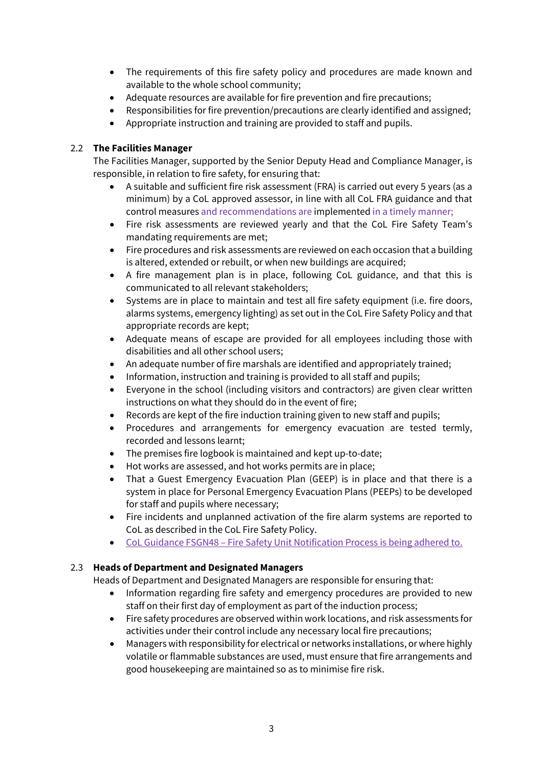- The requirements of this fire safety policy and procedures are made known and available to the whole school community;
- Adequate resources are available for fire prevention and fire precautions;
- Responsibilities for fire prevention/precautions are clearly identified and assigned;
- Appropriate instruction and training are provided to staff and pupils.

### 2.2 **The Facilities Manager**

The Facilities Manager, supported by the Senior Deputy Head and Compliance Manager, is responsible, in relation to fire safety, for ensuring that:

- A suitable and sufficient fire risk assessment (FRA) is carried out every 5 years (as a minimum) by a CoL approved assessor, in line with all CoL FRA guidance and that control measures and recommendations are implemented in a timely manner;
- Fire risk assessments are reviewed yearly and that the CoL Fire Safety Team's mandating requirements are met;
- Fire procedures and risk assessments are reviewed on each occasion that a building is altered, extended or rebuilt, or when new buildings are acquired;
- A fire management plan is in place, following CoL guidance, and that this is communicated to all relevant stakeholders;
- Systems are in place to maintain and test all fire safety equipment (i.e. fire doors, alarms systems, emergency lighting) as set out in the CoL Fire Safety Policy and that appropriate records are kept;
- Adequate means of escape are provided for all employees including those with disabilities and all other school users;
- An adequate number of fire marshals are identified and appropriately trained;
- Information, instruction and training is provided to all staff and pupils;
- Everyone in the school (including visitors and contractors) are given clear written instructions on what they should do in the event of fire;
- Records are kept of the fire induction training given to new staff and pupils;
- Procedures and arrangements for emergency evacuation are tested termly, recorded and lessons learnt;
- The premises fire logbook is maintained and kept up-to-date;
- Hot works are assessed, and hot works permits are in place;
- That a Guest Emergency Evacuation Plan (GEEP) is in place and that there is a system in place for Personal Emergency Evacuation Plans (PEEPs) to be developed for staff and pupils where necessary;
- Fire incidents and unplanned activation of the fire alarm systems are reported to CoL as described in the CoL Fire Safety Policy.
- CoL Guidance FSGN48 Fire Safety Unit Notification Process is being adhered to.

### 2.3 **Heads of Department and Designated Managers**

Heads of Department and Designated Managers are responsible for ensuring that:

- Information regarding fire safety and emergency procedures are provided to new staff on their first day of employment as part of the induction process;
- Fire safety procedures are observed within work locations, and risk assessments for activities under their control include any necessary local fire precautions;
- Managers with responsibility for electrical or networks installations, or where highly volatile or flammable substances are used, must ensure that fire arrangements and good housekeeping are maintained so as to minimise fire risk.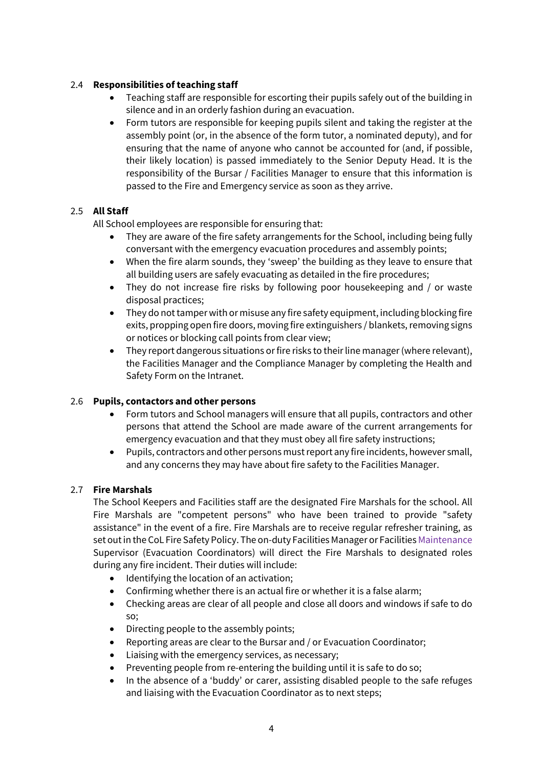### 2.4 **Responsibilities of teaching staff**

- Teaching staff are responsible for escorting their pupils safely out of the building in silence and in an orderly fashion during an evacuation.
- Form tutors are responsible for keeping pupils silent and taking the register at the assembly point (or, in the absence of the form tutor, a nominated deputy), and for ensuring that the name of anyone who cannot be accounted for (and, if possible, their likely location) is passed immediately to the Senior Deputy Head. It is the responsibility of the Bursar / Facilities Manager to ensure that this information is passed to the Fire and Emergency service as soon as they arrive.

### 2.5 **All Staff**

All School employees are responsible for ensuring that:

- They are aware of the fire safety arrangements for the School, including being fully conversant with the emergency evacuation procedures and assembly points;
- When the fire alarm sounds, they 'sweep' the building as they leave to ensure that all building users are safely evacuating as detailed in the fire procedures;
- They do not increase fire risks by following poor housekeeping and / or waste disposal practices;
- They do not tamper with or misuse any fire safety equipment, including blocking fire exits, propping open fire doors, moving fire extinguishers / blankets, removing signs or notices or blocking call points from clear view;
- They report dangerous situations or fire risks to their line manager(where relevant), the Facilities Manager and the Compliance Manager by completing the Health and Safety Form on the Intranet.

#### 2.6 **Pupils, contactors and other persons**

- Form tutors and School managers will ensure that all pupils, contractors and other persons that attend the School are made aware of the current arrangements for emergency evacuation and that they must obey all fire safety instructions;
- Pupils, contractors and other persons must report any fire incidents, however small, and any concerns they may have about fire safety to the Facilities Manager.

#### 2.7 **Fire Marshals**

The School Keepers and Facilities staff are the designated Fire Marshals for the school. All Fire Marshals are "competent persons" who have been trained to provide "safety assistance" in the event of a fire. Fire Marshals are to receive regular refresher training, as set out in the CoL Fire Safety Policy. The on-duty Facilities Manager or Facilities Maintenance Supervisor (Evacuation Coordinators) will direct the Fire Marshals to designated roles during any fire incident. Their duties will include:

- Identifying the location of an activation;
- Confirming whether there is an actual fire or whether it is a false alarm;
- Checking areas are clear of all people and close all doors and windows if safe to do so;
- Directing people to the assembly points;
- Reporting areas are clear to the Bursar and / or Evacuation Coordinator;
- Liaising with the emergency services, as necessary;
- Preventing people from re-entering the building until it is safe to do so;
- In the absence of a 'buddy' or carer, assisting disabled people to the safe refuges and liaising with the Evacuation Coordinator as to next steps;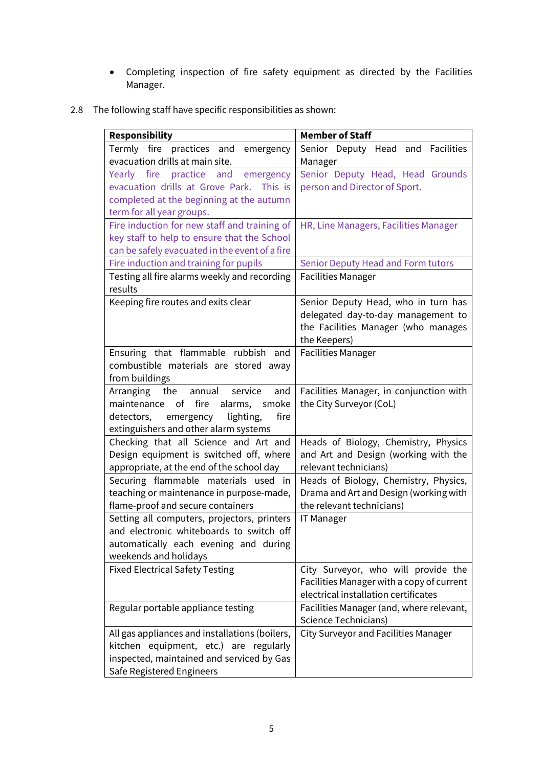- Completing inspection of fire safety equipment as directed by the Facilities Manager.
- 2.8 The following staff have specific responsibilities as shown:

| <b>Responsibility</b>                          | <b>Member of Staff</b>                      |
|------------------------------------------------|---------------------------------------------|
| Termly fire practices and emergency            | Senior Deputy Head and Facilities           |
| evacuation drills at main site.                | Manager                                     |
| Yearly fire practice and emergency             | Senior Deputy Head, Head Grounds            |
| evacuation drills at Grove Park. This is       | person and Director of Sport.               |
| completed at the beginning at the autumn       |                                             |
| term for all year groups.                      |                                             |
| Fire induction for new staff and training of   | HR, Line Managers, Facilities Manager       |
| key staff to help to ensure that the School    |                                             |
| can be safely evacuated in the event of a fire |                                             |
| Fire induction and training for pupils         | <b>Senior Deputy Head and Form tutors</b>   |
| Testing all fire alarms weekly and recording   | <b>Facilities Manager</b>                   |
| results                                        |                                             |
| Keeping fire routes and exits clear            | Senior Deputy Head, who in turn has         |
|                                                | delegated day-to-day management to          |
|                                                | the Facilities Manager (who manages         |
|                                                | the Keepers)                                |
| Ensuring that flammable rubbish and            | <b>Facilities Manager</b>                   |
| combustible materials are stored away          |                                             |
| from buildings                                 |                                             |
| the<br>Arranging<br>annual<br>and<br>service   | Facilities Manager, in conjunction with     |
| maintenance of fire<br>alarms, smoke           | the City Surveyor (CoL)                     |
| lighting,<br>fire<br>detectors,<br>emergency   |                                             |
| extinguishers and other alarm systems          |                                             |
| Checking that all Science and Art and          | Heads of Biology, Chemistry, Physics        |
| Design equipment is switched off, where        | and Art and Design (working with the        |
| appropriate, at the end of the school day      | relevant technicians)                       |
| Securing flammable materials used in           | Heads of Biology, Chemistry, Physics,       |
| teaching or maintenance in purpose-made,       | Drama and Art and Design (working with      |
| flame-proof and secure containers              | the relevant technicians)                   |
| Setting all computers, projectors, printers    | <b>IT Manager</b>                           |
| and electronic whiteboards to switch off       |                                             |
| automatically each evening and during          |                                             |
| weekends and holidays                          |                                             |
| <b>Fixed Electrical Safety Testing</b>         | City Surveyor, who will provide the         |
|                                                | Facilities Manager with a copy of current   |
|                                                | electrical installation certificates        |
| Regular portable appliance testing             | Facilities Manager (and, where relevant,    |
|                                                | <b>Science Technicians)</b>                 |
| All gas appliances and installations (boilers, | <b>City Surveyor and Facilities Manager</b> |
| kitchen equipment, etc.) are regularly         |                                             |
| inspected, maintained and serviced by Gas      |                                             |
| Safe Registered Engineers                      |                                             |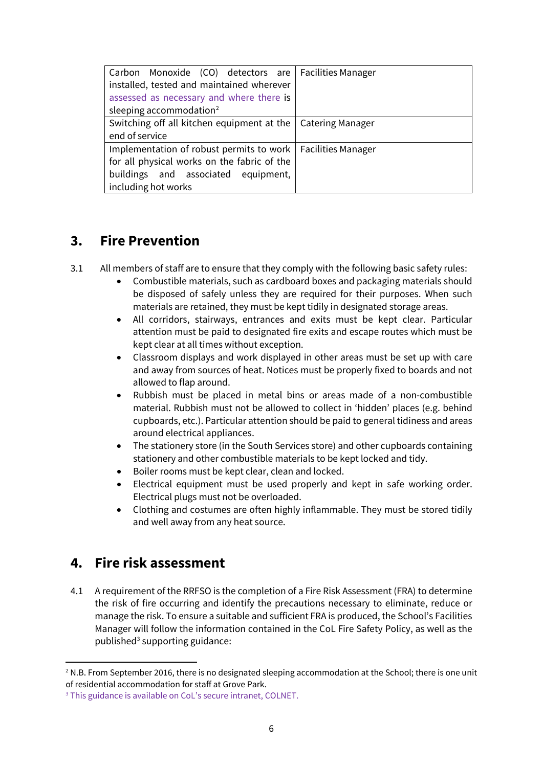| Carbon Monoxide (CO) detectors are   Facilities Manager<br>installed, tested and maintained wherever<br>assessed as necessary and where there is<br>sleeping accommodation <sup>2</sup> |                           |
|-----------------------------------------------------------------------------------------------------------------------------------------------------------------------------------------|---------------------------|
| Switching off all kitchen equipment at the<br>end of service                                                                                                                            | <b>Catering Manager</b>   |
| Implementation of robust permits to work  <br>for all physical works on the fabric of the<br>buildings and associated equipment,<br>including hot works                                 | <b>Facilities Manager</b> |

### **3. Fire Prevention**

- 3.1 All members of staff are to ensure that they comply with the following basic safety rules:
	- Combustible materials, such as cardboard boxes and packaging materials should be disposed of safely unless they are required for their purposes. When such materials are retained, they must be kept tidily in designated storage areas.
	- All corridors, stairways, entrances and exits must be kept clear. Particular attention must be paid to designated fire exits and escape routes which must be kept clear at all times without exception.
	- Classroom displays and work displayed in other areas must be set up with care and away from sources of heat. Notices must be properly fixed to boards and not allowed to flap around.
	- Rubbish must be placed in metal bins or areas made of a non-combustible material. Rubbish must not be allowed to collect in 'hidden' places (e.g. behind cupboards, etc.). Particular attention should be paid to general tidiness and areas around electrical appliances.
	- The stationery store (in the South Services store) and other cupboards containing stationery and other combustible materials to be kept locked and tidy.
	- Boiler rooms must be kept clear, clean and locked.
	- Electrical equipment must be used properly and kept in safe working order. Electrical plugs must not be overloaded.
	- Clothing and costumes are often highly inflammable. They must be stored tidily and well away from any heat source.

### **4. Fire risk assessment**

4.1 A requirement of the RRFSO is the completion of a Fire Risk Assessment (FRA) to determine the risk of fire occurring and identify the precautions necessary to eliminate, reduce or manage the risk. To ensure a suitable and sufficient FRA is produced, the School's Facilities Manager will follow the information contained in the CoL Fire Safety Policy, as well as the published $3$  supporting guidance:

<span id="page-5-0"></span> $2$  N.B. From September 2016, there is no designated sleeping accommodation at the School; there is one unit of residential accommodation for staff at Grove Park.

<span id="page-5-1"></span><sup>&</sup>lt;sup>3</sup> This guidance is available on CoL's secure intranet, COLNET.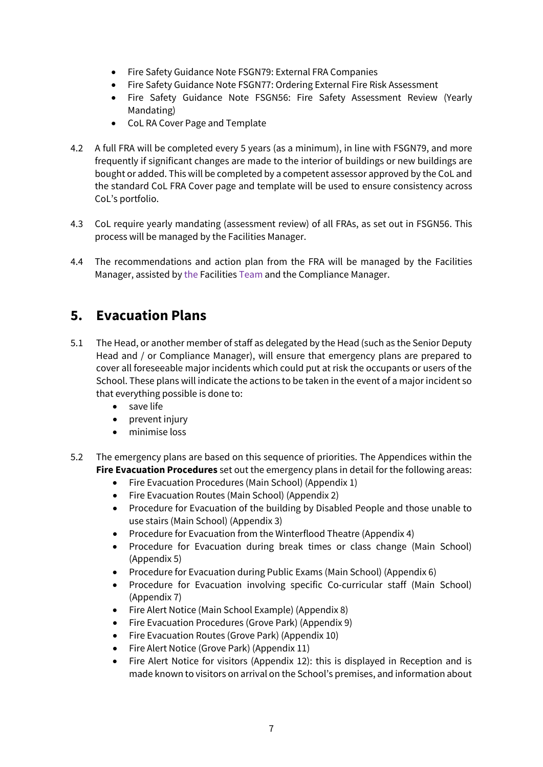- Fire Safety Guidance Note FSGN79: External FRA Companies
- Fire Safety Guidance Note FSGN77: Ordering External Fire Risk Assessment
- Fire Safety Guidance Note FSGN56: Fire Safety Assessment Review (Yearly Mandating)
- CoL RA Cover Page and Template
- 4.2 A full FRA will be completed every 5 years (as a minimum), in line with FSGN79, and more frequently if significant changes are made to the interior of buildings or new buildings are bought or added. This will be completed by a competent assessor approved by the CoL and the standard CoL FRA Cover page and template will be used to ensure consistency across CoL's portfolio.
- 4.3 CoL require yearly mandating (assessment review) of all FRAs, as set out in FSGN56. This process will be managed by the Facilities Manager.
- 4.4 The recommendations and action plan from the FRA will be managed by the Facilities Manager, assisted by the Facilities Team and the Compliance Manager.

### **5. Evacuation Plans**

- 5.1 The Head, or another member of staff as delegated by the Head (such as the Senior Deputy Head and / or Compliance Manager), will ensure that emergency plans are prepared to cover all foreseeable major incidents which could put at risk the occupants or users of the School. These plans will indicate the actions to be taken in the event of a major incident so that everything possible is done to:
	- save life
	- prevent injury
	- minimise loss
- 5.2 The emergency plans are based on this sequence of priorities. The Appendices within the **Fire Evacuation Procedures** set out the emergency plans in detail for the following areas:
	- Fire Evacuation Procedures (Main School) (Appendix 1)
	- Fire Evacuation Routes (Main School) (Appendix 2)
	- Procedure for Evacuation of the building by Disabled People and those unable to use stairs (Main School) (Appendix 3)
	- Procedure for Evacuation from the Winterflood Theatre (Appendix 4)
	- Procedure for Evacuation during break times or class change (Main School) (Appendix 5)
	- Procedure for Evacuation during Public Exams (Main School) (Appendix 6)
	- Procedure for Evacuation involving specific Co-curricular staff (Main School) (Appendix 7)
	- Fire Alert Notice (Main School Example) (Appendix 8)
	- Fire Evacuation Procedures (Grove Park) (Appendix 9)
	- Fire Evacuation Routes (Grove Park) (Appendix 10)
	- Fire Alert Notice (Grove Park) (Appendix 11)
	- Fire Alert Notice for visitors (Appendix 12): this is displayed in Reception and is made known to visitors on arrival on the School's premises, and information about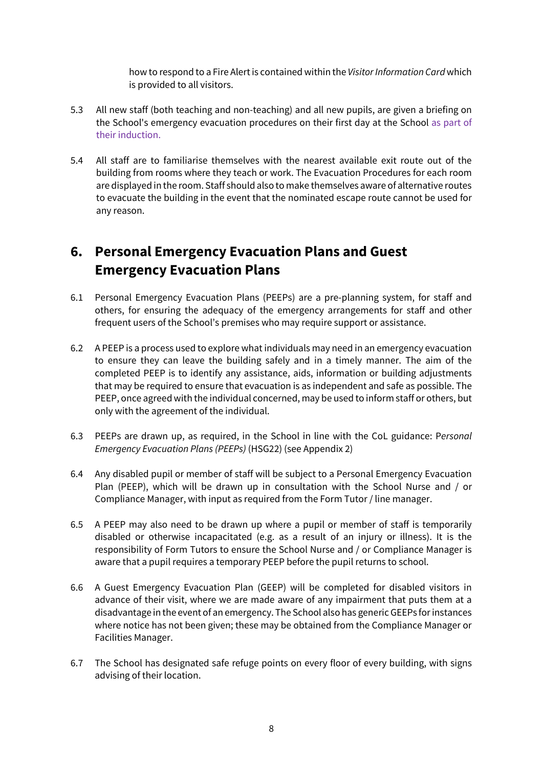how to respond to a Fire Alert is contained within the *Visitor Information Card* which is provided to all visitors.

- 5.3 All new staff (both teaching and non-teaching) and all new pupils, are given a briefing on the School's emergency evacuation procedures on their first day at the School as part of their induction.
- 5.4 All staff are to familiarise themselves with the nearest available exit route out of the building from rooms where they teach or work. The Evacuation Procedures for each room are displayed in the room. Staff should also to make themselves aware of alternative routes to evacuate the building in the event that the nominated escape route cannot be used for any reason.

# **6. Personal Emergency Evacuation Plans and Guest Emergency Evacuation Plans**

- 6.1 Personal Emergency Evacuation Plans (PEEPs) are a pre-planning system, for staff and others, for ensuring the adequacy of the emergency arrangements for staff and other frequent users of the School's premises who may require support or assistance.
- 6.2 A PEEP is a process used to explore what individuals may need in an emergency evacuation to ensure they can leave the building safely and in a timely manner. The aim of the completed PEEP is to identify any assistance, aids, information or building adjustments that may be required to ensure that evacuation is as independent and safe as possible. The PEEP, once agreed with the individual concerned, may be used to inform staff or others, but only with the agreement of the individual.
- 6.3 PEEPs are drawn up, as required, in the School in line with the CoL guidance: P*ersonal Emergency Evacuation Plans (PEEPs)* (HSG22) (see Appendix 2)
- 6.4 Any disabled pupil or member of staff will be subject to a Personal Emergency Evacuation Plan (PEEP), which will be drawn up in consultation with the School Nurse and / or Compliance Manager, with input as required from the Form Tutor / line manager.
- 6.5 A PEEP may also need to be drawn up where a pupil or member of staff is temporarily disabled or otherwise incapacitated (e.g. as a result of an injury or illness). It is the responsibility of Form Tutors to ensure the School Nurse and / or Compliance Manager is aware that a pupil requires a temporary PEEP before the pupil returns to school.
- 6.6 A Guest Emergency Evacuation Plan (GEEP) will be completed for disabled visitors in advance of their visit, where we are made aware of any impairment that puts them at a disadvantage in the event of an emergency. The School also has generic GEEPs for instances where notice has not been given; these may be obtained from the Compliance Manager or Facilities Manager.
- 6.7 The School has designated safe refuge points on every floor of every building, with signs advising of their location.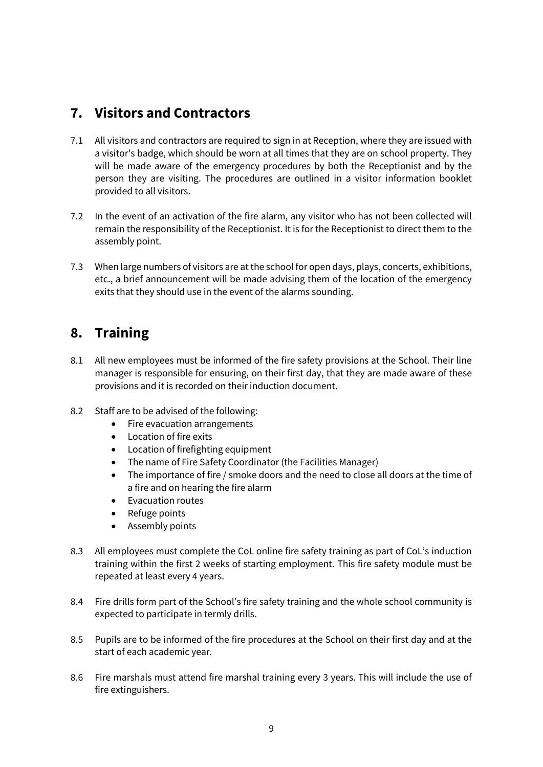### **7. Visitors and Contractors**

- 7.1 All visitors and contractors are required to sign in at Reception, where they are issued with a visitor's badge, which should be worn at all times that they are on school property. They will be made aware of the emergency procedures by both the Receptionist and by the person they are visiting. The procedures are outlined in a visitor information booklet provided to all visitors.
- 7.2 In the event of an activation of the fire alarm, any visitor who has not been collected will remain the responsibility of the Receptionist. It is for the Receptionist to direct them to the assembly point.
- 7.3 When large numbers of visitors are at the school for open days, plays, concerts, exhibitions, etc., a brief announcement will be made advising them of the location of the emergency exits that they should use in the event of the alarms sounding.

### **8. Training**

- 8.1 All new employees must be informed of the fire safety provisions at the School. Their line manager is responsible for ensuring, on their first day, that they are made aware of these provisions and it is recorded on their induction document.
- 8.2 Staff are to be advised of the following:
	- Fire evacuation arrangements
	- Location of fire exits
	- Location of firefighting equipment
	- The name of Fire Safety Coordinator (the Facilities Manager)
	- The importance of fire / smoke doors and the need to close all doors at the time of a fire and on hearing the fire alarm
	- Evacuation routes
	- Refuge points
	- Assembly points
- 8.3 All employees must complete the CoL online fire safety training as part of CoL's induction training within the first 2 weeks of starting employment. This fire safety module must be repeated at least every 4 years.
- 8.4 Fire drills form part of the School's fire safety training and the whole school community is expected to participate in termly drills.
- 8.5 Pupils are to be informed of the fire procedures at the School on their first day and at the start of each academic year.
- 8.6 Fire marshals must attend fire marshal training every 3 years. This will include the use of fire extinguishers.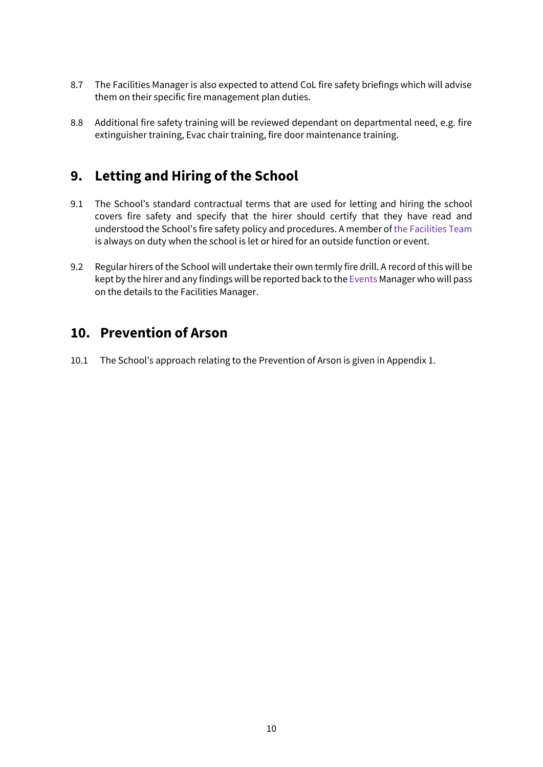- 8.7 The Facilities Manager is also expected to attend CoL fire safety briefings which will advise them on their specific fire management plan duties.
- 8.8 Additional fire safety training will be reviewed dependant on departmental need, e.g. fire extinguisher training, Evac chair training, fire door maintenance training.

### **9. Letting and Hiring of the School**

- 9.1 The School's standard contractual terms that are used for letting and hiring the school covers fire safety and specify that the hirer should certify that they have read and understood the School's fire safety policy and procedures. A member of the Facilities Team is always on duty when the school is let or hired for an outside function or event.
- 9.2 Regular hirers of the School will undertake their own termly fire drill. A record of this will be kept by the hirer and any findings will be reported back to the Events Manager who will pass on the details to the Facilities Manager.

### **10. Prevention of Arson**

10.1 The School's approach relating to the Prevention of Arson is given in Appendix 1.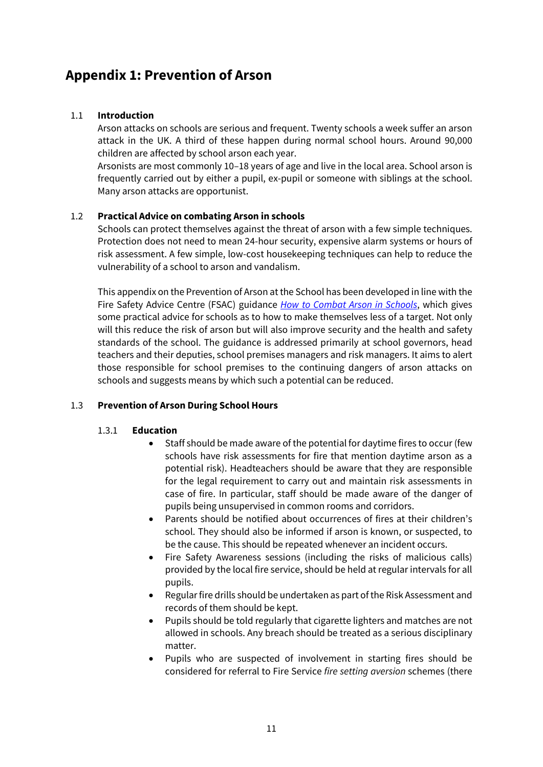### **Appendix 1: Prevention of Arson**

### 1.1 **Introduction**

Arson attacks on schools are serious and frequent. Twenty schools a week suffer an arson attack in the UK. A third of these happen during normal school hours. Around 90,000 children are affected by school arson each year.

Arsonists are most commonly 10–18 years of age and live in the local area. School arson is frequently carried out by either a pupil, ex-pupil or someone with siblings at the school. Many arson attacks are opportunist.

#### 1.2 **Practical Advice on combating Arson in schools**

Schools can protect themselves against the threat of arson with a few simple techniques. Protection does not need to mean 24-hour security, expensive alarm systems or hours of risk assessment. A few simple, low-cost housekeeping techniques can help to reduce the vulnerability of a school to arson and vandalism.

This appendix on the Prevention of Arson at the School has been developed in line with the Fire Safety Advice Centre (FSAC) guidance *[How to Combat Arson in Schools](https://www.firesafe.org.uk/how-to-combat-arson-in-schools/)*, which gives some practical advice for schools as to how to make themselves less of a target. Not only will this reduce the risk of arson but will also improve security and the health and safety standards of the school. The guidance is addressed primarily at school governors, head teachers and their deputies, school premises managers and risk managers. It aims to alert those responsible for school premises to the continuing dangers of arson attacks on schools and suggests means by which such a potential can be reduced.

### 1.3 **Prevention of Arson During School Hours**

#### 1.3.1 **Education**

- Staff should be made aware of the potential for daytime fires to occur (few schools have risk assessments for fire that mention daytime arson as a potential risk). Headteachers should be aware that they are responsible for the legal requirement to carry out and maintain risk assessments in case of fire. In particular, staff should be made aware of the danger of pupils being unsupervised in common rooms and corridors.
- Parents should be notified about occurrences of fires at their children's school. They should also be informed if arson is known, or suspected, to be the cause. This should be repeated whenever an incident occurs.
- Fire Safety Awareness sessions (including the risks of malicious calls) provided by the local fire service, should be held at regular intervals for all pupils.
- Regular fire drills should be undertaken as part of the Risk Assessment and records of them should be kept.
- Pupils should be told regularly that cigarette lighters and matches are not allowed in schools. Any breach should be treated as a serious disciplinary matter.
- Pupils who are suspected of involvement in starting fires should be considered for referral to Fire Service *fire setting aversion* schemes (there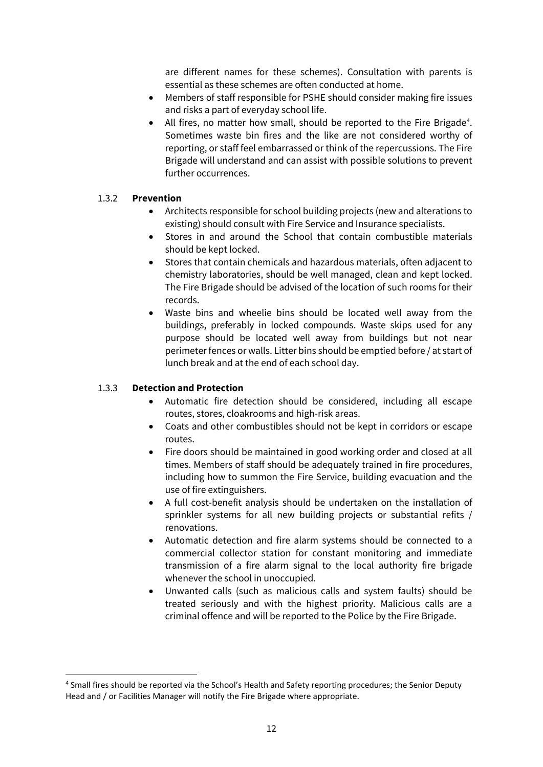are different names for these schemes). Consultation with parents is essential as these schemes are often conducted at home.

- Members of staff responsible for PSHE should consider making fire issues and risks a part of everyday school life.
- All fires, no matter how small, should be reported to the Fire Brigade<sup>[4](#page-11-0)</sup>. Sometimes waste bin fires and the like are not considered worthy of reporting, or staff feel embarrassed or think of the repercussions. The Fire Brigade will understand and can assist with possible solutions to prevent further occurrences.

### 1.3.2 **Prevention**

- Architects responsible for school building projects (new and alterations to existing) should consult with Fire Service and Insurance specialists.
- Stores in and around the School that contain combustible materials should be kept locked.
- Stores that contain chemicals and hazardous materials, often adjacent to chemistry laboratories, should be well managed, clean and kept locked. The Fire Brigade should be advised of the location of such rooms for their records.
- Waste bins and wheelie bins should be located well away from the buildings, preferably in locked compounds. Waste skips used for any purpose should be located well away from buildings but not near perimeter fences or walls. Litter bins should be emptied before / at start of lunch break and at the end of each school day.

### 1.3.3 **Detection and Protection**

- Automatic fire detection should be considered, including all escape routes, stores, cloakrooms and high-risk areas.
- Coats and other combustibles should not be kept in corridors or escape routes.
- Fire doors should be maintained in good working order and closed at all times. Members of staff should be adequately trained in fire procedures, including how to summon the Fire Service, building evacuation and the use of fire extinguishers.
- A full cost-benefit analysis should be undertaken on the installation of sprinkler systems for all new building projects or substantial refits / renovations.
- Automatic detection and fire alarm systems should be connected to a commercial collector station for constant monitoring and immediate transmission of a fire alarm signal to the local authority fire brigade whenever the school in unoccupied.
- Unwanted calls (such as malicious calls and system faults) should be treated seriously and with the highest priority. Malicious calls are a criminal offence and will be reported to the Police by the Fire Brigade.

<span id="page-11-0"></span><sup>4</sup> Small fires should be reported via the School's Health and Safety reporting procedures; the Senior Deputy Head and / or Facilities Manager will notify the Fire Brigade where appropriate.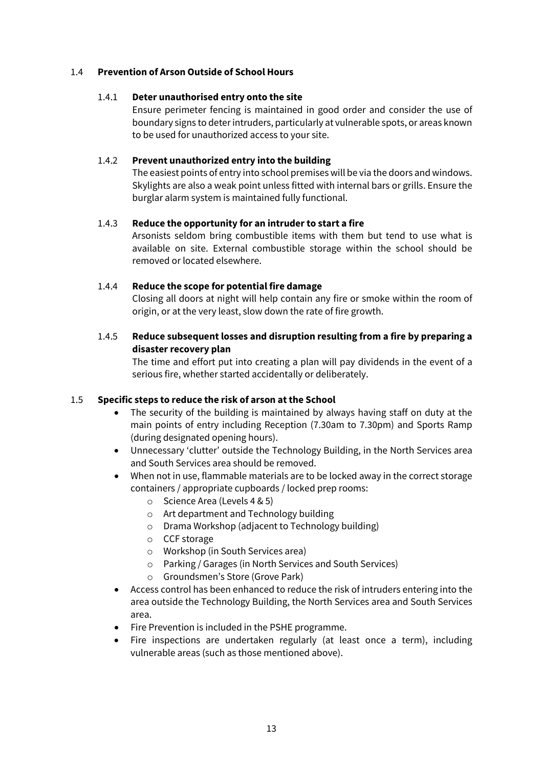#### 1.4 **Prevention of Arson Outside of School Hours**

#### 1.4.1 **Deter unauthorised entry onto the site**

Ensure perimeter fencing is maintained in good order and consider the use of boundary signs to deter intruders, particularly at vulnerable spots, or areas known to be used for unauthorized access to your site.

#### 1.4.2 **Prevent unauthorized entry into the building**

The easiest points of entry into school premises will be via the doors and windows. Skylights are also a weak point unless fitted with internal bars or grills. Ensure the burglar alarm system is maintained fully functional.

#### 1.4.3 **Reduce the opportunity for an intruder to start a fire**

Arsonists seldom bring combustible items with them but tend to use what is available on site. External combustible storage within the school should be removed or located elsewhere.

#### 1.4.4 **Reduce the scope for potential fire damage**

Closing all doors at night will help contain any fire or smoke within the room of origin, or at the very least, slow down the rate of fire growth.

### 1.4.5 **Reduce subsequent losses and disruption resulting from a fire by preparing a disaster recovery plan**

The time and effort put into creating a plan will pay dividends in the event of a serious fire, whether started accidentally or deliberately.

#### 1.5 **Specific steps to reduce the risk of arson atthe School**

- The security of the building is maintained by always having staff on duty at the main points of entry including Reception (7.30am to 7.30pm) and Sports Ramp (during designated opening hours).
- Unnecessary 'clutter' outside the Technology Building, in the North Services area and South Services area should be removed.
- When not in use, flammable materials are to be locked away in the correct storage containers / appropriate cupboards / locked prep rooms:
	- o Science Area (Levels 4 & 5)
	- o Art department and Technology building
	- o Drama Workshop (adjacent to Technology building)
	- o CCF storage
	- o Workshop (in South Services area)
	- o Parking / Garages (in North Services and South Services)
	- o Groundsmen's Store (Grove Park)
- Access control has been enhanced to reduce the risk of intruders entering into the area outside the Technology Building, the North Services area and South Services area.
- Fire Prevention is included in the PSHE programme.
- Fire inspections are undertaken regularly (at least once a term), including vulnerable areas (such as those mentioned above).